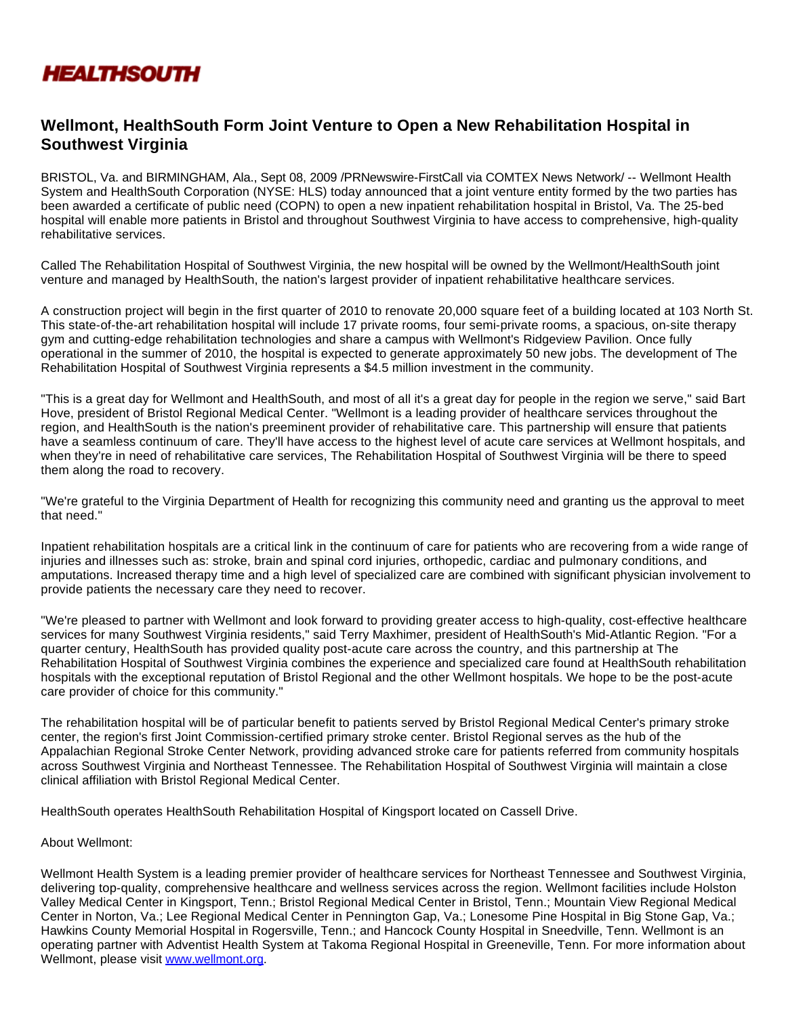

# **Wellmont, HealthSouth Form Joint Venture to Open a New Rehabilitation Hospital in Southwest Virginia**

BRISTOL, Va. and BIRMINGHAM, Ala., Sept 08, 2009 /PRNewswire-FirstCall via COMTEX News Network/ -- Wellmont Health System and HealthSouth Corporation (NYSE: HLS) today announced that a joint venture entity formed by the two parties has been awarded a certificate of public need (COPN) to open a new inpatient rehabilitation hospital in Bristol, Va. The 25-bed hospital will enable more patients in Bristol and throughout Southwest Virginia to have access to comprehensive, high-quality rehabilitative services.

Called The Rehabilitation Hospital of Southwest Virginia, the new hospital will be owned by the Wellmont/HealthSouth joint venture and managed by HealthSouth, the nation's largest provider of inpatient rehabilitative healthcare services.

A construction project will begin in the first quarter of 2010 to renovate 20,000 square feet of a building located at 103 North St. This state-of-the-art rehabilitation hospital will include 17 private rooms, four semi-private rooms, a spacious, on-site therapy gym and cutting-edge rehabilitation technologies and share a campus with Wellmont's Ridgeview Pavilion. Once fully operational in the summer of 2010, the hospital is expected to generate approximately 50 new jobs. The development of The Rehabilitation Hospital of Southwest Virginia represents a \$4.5 million investment in the community.

"This is a great day for Wellmont and HealthSouth, and most of all it's a great day for people in the region we serve," said Bart Hove, president of Bristol Regional Medical Center. "Wellmont is a leading provider of healthcare services throughout the region, and HealthSouth is the nation's preeminent provider of rehabilitative care. This partnership will ensure that patients have a seamless continuum of care. They'll have access to the highest level of acute care services at Wellmont hospitals, and when they're in need of rehabilitative care services, The Rehabilitation Hospital of Southwest Virginia will be there to speed them along the road to recovery.

"We're grateful to the Virginia Department of Health for recognizing this community need and granting us the approval to meet that need."

Inpatient rehabilitation hospitals are a critical link in the continuum of care for patients who are recovering from a wide range of injuries and illnesses such as: stroke, brain and spinal cord injuries, orthopedic, cardiac and pulmonary conditions, and amputations. Increased therapy time and a high level of specialized care are combined with significant physician involvement to provide patients the necessary care they need to recover.

"We're pleased to partner with Wellmont and look forward to providing greater access to high-quality, cost-effective healthcare services for many Southwest Virginia residents," said Terry Maxhimer, president of HealthSouth's Mid-Atlantic Region. "For a quarter century, HealthSouth has provided quality post-acute care across the country, and this partnership at The Rehabilitation Hospital of Southwest Virginia combines the experience and specialized care found at HealthSouth rehabilitation hospitals with the exceptional reputation of Bristol Regional and the other Wellmont hospitals. We hope to be the post-acute care provider of choice for this community."

The rehabilitation hospital will be of particular benefit to patients served by Bristol Regional Medical Center's primary stroke center, the region's first Joint Commission-certified primary stroke center. Bristol Regional serves as the hub of the Appalachian Regional Stroke Center Network, providing advanced stroke care for patients referred from community hospitals across Southwest Virginia and Northeast Tennessee. The Rehabilitation Hospital of Southwest Virginia will maintain a close clinical affiliation with Bristol Regional Medical Center.

HealthSouth operates HealthSouth Rehabilitation Hospital of Kingsport located on Cassell Drive.

### About Wellmont:

Wellmont Health System is a leading premier provider of healthcare services for Northeast Tennessee and Southwest Virginia, delivering top-quality, comprehensive healthcare and wellness services across the region. Wellmont facilities include Holston Valley Medical Center in Kingsport, Tenn.; Bristol Regional Medical Center in Bristol, Tenn.; Mountain View Regional Medical Center in Norton, Va.; Lee Regional Medical Center in Pennington Gap, Va.; Lonesome Pine Hospital in Big Stone Gap, Va.; Hawkins County Memorial Hospital in Rogersville, Tenn.; and Hancock County Hospital in Sneedville, Tenn. Wellmont is an operating partner with Adventist Health System at Takoma Regional Hospital in Greeneville, Tenn. For more information about Wellmont, please visit [www.wellmont.org](http://www.wellmont.org/).